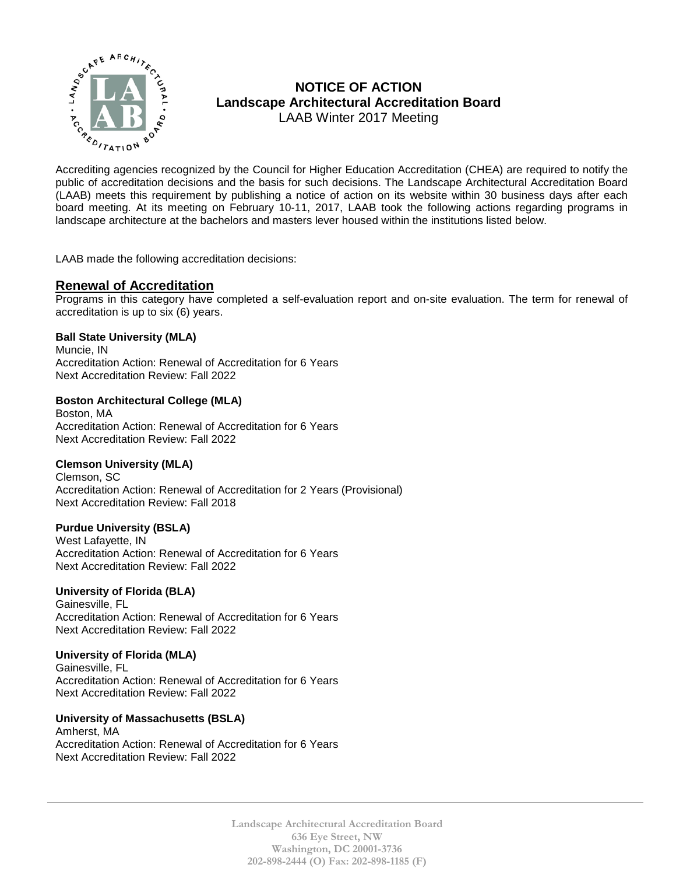

# **NOTICE OF ACTION Landscape Architectural Accreditation Board**  LAAB Winter 2017 Meeting

MOTICE OF ACTION<br>  $\sum_{k}^{n}$  MOTICE OF ACTION<br>
Landscape Architectural Accreditation Board<br>
LAAB Winter 2017 Meeting<br>
Accrediting agencies recognized by the Council for Higher Education Accreditation (CHEA) are required t public of accreditation decisions and the basis for such decisions. The Landscape Architectural Accreditation Board (LAAB) meets this requirement by publishing a notice of action on its website within 30 business days after each board meeting. At its meeting on February 10-11, 2017, LAAB took the following actions regarding programs in landscape architecture at the bachelors and masters lever housed within the institutions listed below.

LAAB made the following accreditation decisions:

## **Renewal of Accreditation**

Programs in this category have completed a self-evaluation report and on-site evaluation. The term for renewal of accreditation is up to six (6) years.

#### **Ball State University (MLA)**

Muncie, IN Accreditation Action: Renewal of Accreditation for 6 Years Next Accreditation Review: Fall 2022

## **Boston Architectural College (MLA)**

Boston, MA Accreditation Action: Renewal of Accreditation for 6 Years Next Accreditation Review: Fall 2022

#### **Clemson University (MLA)**

Clemson, SC Accreditation Action: Renewal of Accreditation for 2 Years (Provisional) Next Accreditation Review: Fall 2018

#### **Purdue University (BSLA)**

West Lafayette, IN Accreditation Action: Renewal of Accreditation for 6 Years Next Accreditation Review: Fall 2022

#### **University of Florida (BLA)**

Gainesville, FL Accreditation Action: Renewal of Accreditation for 6 Years Next Accreditation Review: Fall 2022

#### **University of Florida (MLA)**

Gainesville, FL Accreditation Action: Renewal of Accreditation for 6 Years Next Accreditation Review: Fall 2022

#### **University of Massachusetts (BSLA)**

Amherst, MA Accreditation Action: Renewal of Accreditation for 6 Years Next Accreditation Review: Fall 2022

> **Landscape Architectural Accreditation Board 636 Eye Street, NW Washington, DC 20001-3736 202-898-2444 (O) Fax: 202-898-1185 (F)**